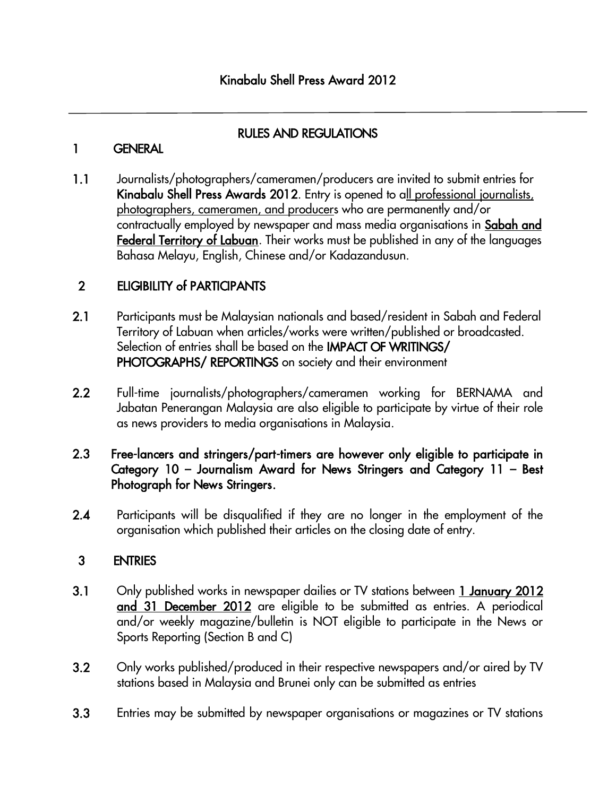## RULES AND REGULATIONS

## 1 GENERAL

1.1 Journalists/photographers/cameramen/producers are invited to submit entries for Kinabalu Shell Press Awards 2012. Entry is opened to all professional journalists, photographers, cameramen, and producers who are permanently and/or contractually employed by newspaper and mass media organisations in Sabah and Federal Territory of Labuan. Their works must be published in any of the languages Bahasa Melayu, English, Chinese and/or Kadazandusun.

# 2 ELIGIBILITY of PARTICIPANTS

- 2.1 Participants must be Malaysian nationals and based/resident in Sabah and Federal Territory of Labuan when articles/works were written/published or broadcasted. Selection of entries shall be based on the IMPACT OF WRITINGS/ PHOTOGRAPHS/ REPORTINGS on society and their environment
- 2.2 Full-time journalists/photographers/cameramen working for BERNAMA and Jabatan Penerangan Malaysia are also eligible to participate by virtue of their role as news providers to media organisations in Malaysia.

#### 2.3 Free-lancers and stringers/part-timers are however only eligible to participate in Category 10 – Journalism Award for News Stringers and Category 11 – Best Photograph for News Stringers.

2.4 Participants will be disqualified if they are no longer in the employment of the organisation which published their articles on the closing date of entry.

# 3 ENTRIES

- 3.1 Only published works in newspaper dailies or TV stations between 1 January 2012 and 31 December 2012 are eligible to be submitted as entries. A periodical and/or weekly magazine/bulletin is NOT eligible to participate in the News or Sports Reporting (Section B and C)
- 3.2 Only works published/produced in their respective newspapers and/or aired by TV stations based in Malaysia and Brunei only can be submitted as entries
- 3.3 Entries may be submitted by newspaper organisations or magazines or TV stations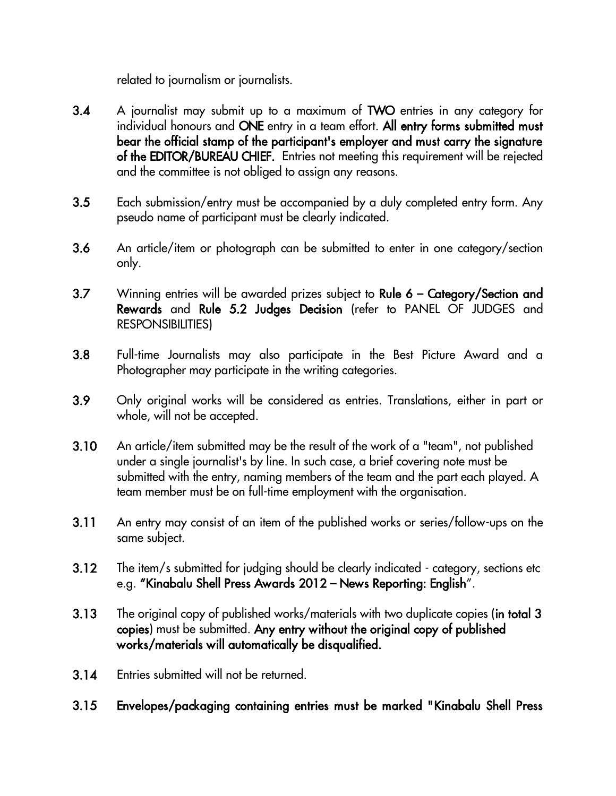related to journalism or journalists.

- 3.4 A journalist may submit up to a maximum of TWO entries in any category for individual honours and ONE entry in a team effort. All entry forms submitted must bear the official stamp of the participant's employer and must carry the signature of the EDITOR/BUREAU CHIEF. Entries not meeting this requirement will be rejected and the committee is not obliged to assign any reasons.
- 3.5 Each submission/entry must be accompanied by a duly completed entry form. Any pseudo name of participant must be clearly indicated.
- 3.6 An article/item or photograph can be submitted to enter in one category/section only.
- 3.7 Winning entries will be awarded prizes subject to Rule 6 Category/Section and Rewards and Rule 5.2 Judges Decision (refer to PANEL OF JUDGES and RESPONSIBILITIES)
- 3.8 Full-time Journalists may also participate in the Best Picture Award and a Photographer may participate in the writing categories.
- 3.9 Only original works will be considered as entries. Translations, either in part or whole, will not be accepted.
- 3.10 An article/item submitted may be the result of the work of a "team", not published under a single journalist's by line. In such case, a brief covering note must be submitted with the entry, naming members of the team and the part each played. A team member must be on full-time employment with the organisation.
- 3.11 An entry may consist of an item of the published works or series/follow-ups on the same subject.
- 3.12 The item/s submitted for judging should be clearly indicated category, sections etc e.g. "Kinabalu Shell Press Awards 2012 – News Reporting: English".
- 3.13 The original copy of published works/materials with two duplicate copies (in total 3 copies) must be submitted. Any entry without the original copy of published works/materials will automatically be disqualified.
- 3.14 Entries submitted will not be returned.
- 3.15 Envelopes/packaging containing entries must be marked "Kinabalu Shell Press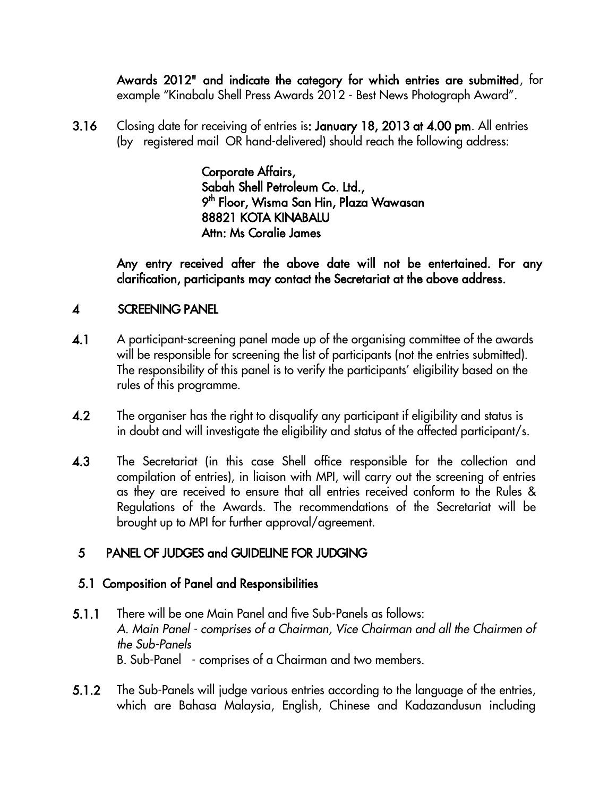Awards 2012" and indicate the category for which entries are submitted, for example "Kinabalu Shell Press Awards 2012 - Best News Photograph Award".

3.16 Closing date for receiving of entries is: January 18, 2013 at 4.00 pm. All entries (by registered mail OR hand-delivered) should reach the following address:

> Corporate Affairs, Sabah Shell Petroleum Co. Ltd., 9 <sup>th</sup> Floor, Wisma San Hin, Plaza Wawasan 88821 KOTA KINABALU Attn: Ms Coralie James

Any entry received after the above date will not be entertained. For any clarification, participants may contact the Secretariat at the above address.

#### 4 SCREENING PANEL

- 4.1 A participant-screening panel made up of the organising committee of the awards will be responsible for screening the list of participants (not the entries submitted). The responsibility of this panel is to verify the participants' eligibility based on the rules of this programme.
- 4.2 The organiser has the right to disqualify any participant if eligibility and status is in doubt and will investigate the eligibility and status of the affected participant/s.
- 4.3 The Secretariat (in this case Shell office responsible for the collection and compilation of entries), in liaison with MPI, will carry out the screening of entries as they are received to ensure that all entries received conform to the Rules & Regulations of the Awards. The recommendations of the Secretariat will be brought up to MPI for further approval/agreement.

## 5 PANEL OF JUDGES and GUIDELINE FOR JUDGING

#### 5.1 Composition of Panel and Responsibilities

- 5.1.1 There will be one Main Panel and five Sub-Panels as follows: *A. Main Panel - comprises of a Chairman, Vice Chairman and all the Chairmen of the Sub-Panels* B. Sub-Panel - comprises of a Chairman and two members.
- 5.1.2 The Sub-Panels will judge various entries according to the language of the entries, which are Bahasa Malaysia, English, Chinese and Kadazandusun including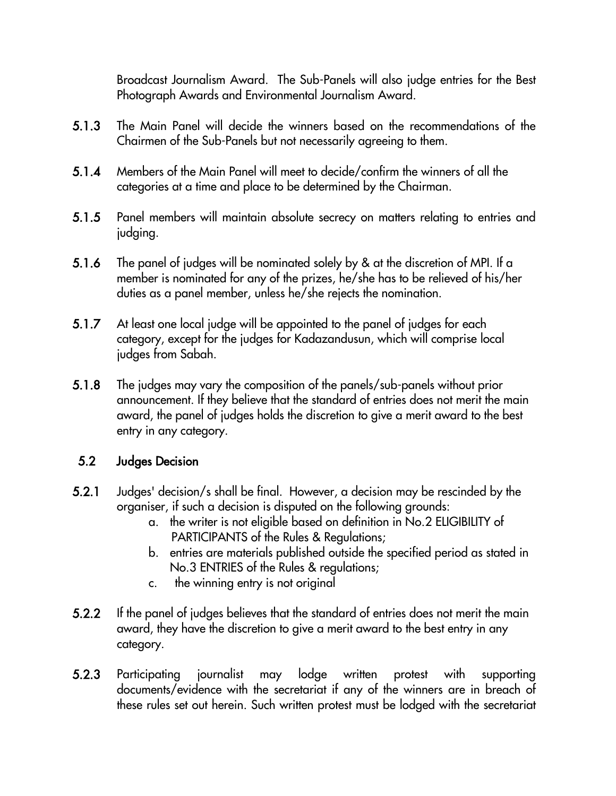Broadcast Journalism Award. The Sub-Panels will also judge entries for the Best Photograph Awards and Environmental Journalism Award.

- 5.1.3 The Main Panel will decide the winners based on the recommendations of the Chairmen of the Sub-Panels but not necessarily agreeing to them.
- 5.1.4 Members of the Main Panel will meet to decide/confirm the winners of all the categories at a time and place to be determined by the Chairman.
- 5.1.5 Panel members will maintain absolute secrecy on matters relating to entries and judging.
- 5.1.6 The panel of judges will be nominated solely by & at the discretion of MPI. If a member is nominated for any of the prizes, he/she has to be relieved of his/her duties as a panel member, unless he/she rejects the nomination.
- 5.1.7 At least one local judge will be appointed to the panel of judges for each category, except for the judges for Kadazandusun, which will comprise local judges from Sabah.
- 5.1.8 The judges may vary the composition of the panels/sub-panels without prior announcement. If they believe that the standard of entries does not merit the main award, the panel of judges holds the discretion to give a merit award to the best entry in any category.

## 5.2 Judges Decision

- 5.2.1 Judges' decision/s shall be final. However, a decision may be rescinded by the organiser, if such a decision is disputed on the following grounds:
	- a. the writer is not eligible based on definition in No.2 ELIGIBILITY of PARTICIPANTS of the Rules & Regulations;
	- b. entries are materials published outside the specified period as stated in No.3 ENTRIES of the Rules & regulations;
	- c. the winning entry is not original
- 5.2.2 If the panel of judges believes that the standard of entries does not merit the main award, they have the discretion to give a merit award to the best entry in any category.
- 5.2.3 Participating journalist may lodge written protest with supporting documents/evidence with the secretariat if any of the winners are in breach of these rules set out herein. Such written protest must be lodged with the secretariat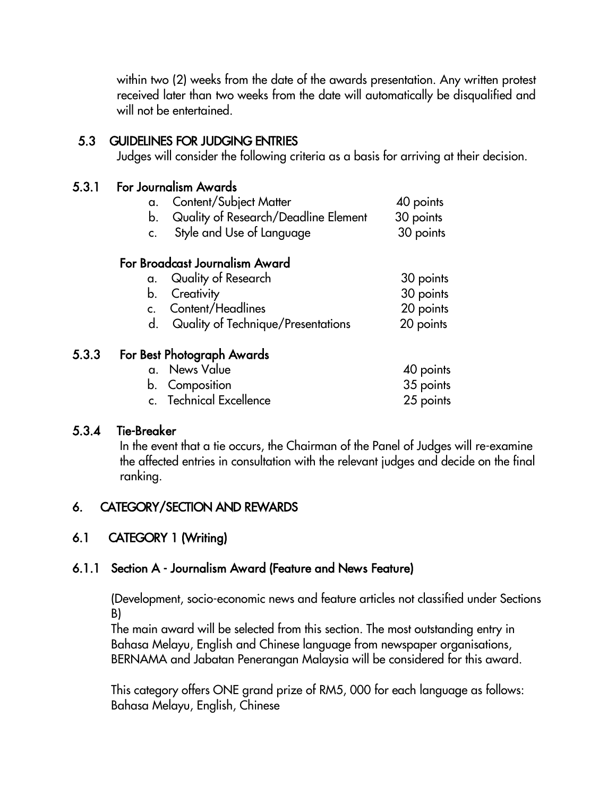within two (2) weeks from the date of the awards presentation. Any written protest received later than two weeks from the date will automatically be disqualified and will not be entertained.

## 5.3 GUIDELINES FOR JUDGING ENTRIES

Judges will consider the following criteria as a basis for arriving at their decision.

#### 5.3.1 For Journalism Awards

| a. Content/Subject Matter               | 40 points |
|-----------------------------------------|-----------|
| b. Quality of Research/Deadline Element | 30 points |

c. Style and Use of Language 30 points c. Style and Use of Language 30 points

#### For Broadcast Journalism Award

| a. Quality of Research             | 30 points |
|------------------------------------|-----------|
| b. Creativity                      | 30 points |
| c. Content/Headlines               | 20 points |
| Quality of Technique/Presentations | 20 points |

#### 5.3.3 For Best Photograph Awards

| a. News Value           | 40 points |
|-------------------------|-----------|
| b. Composition          | 35 points |
| c. Technical Excellence | 25 points |

#### 5.3.4 Tie-Breaker

In the event that a tie occurs, the Chairman of the Panel of Judges will re-examine the affected entries in consultation with the relevant judges and decide on the final ranking.

## 6. CATEGORY/SECTION AND REWARDS

# 6.1 CATEGORY 1 (Writing)

## 6.1.1 Section A - Journalism Award (Feature and News Feature)

(Development, socio-economic news and feature articles not classified under Sections B)

 The main award will be selected from this section. The most outstanding entry in Bahasa Melayu, English and Chinese language from newspaper organisations, BERNAMA and Jabatan Penerangan Malaysia will be considered for this award.

This category offers ONE grand prize of RM5, 000 for each language as follows: Bahasa Melayu, English, Chinese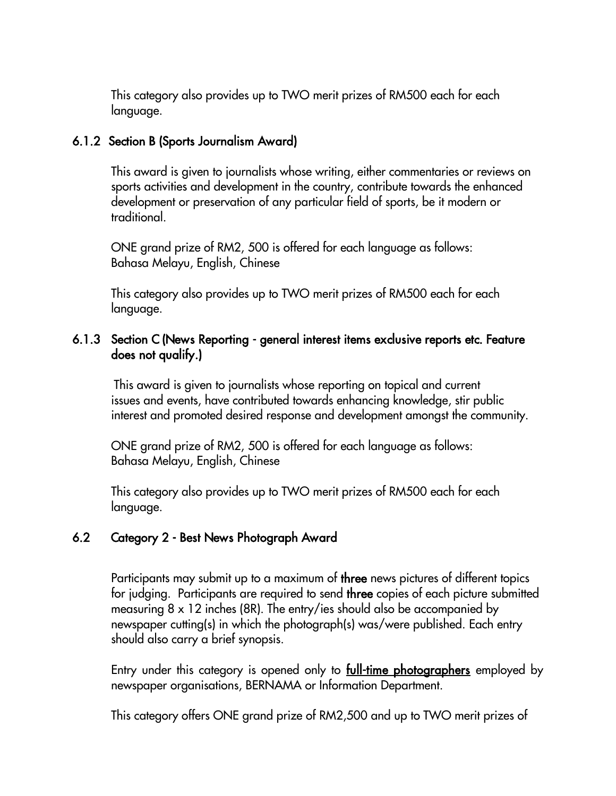This category also provides up to TWO merit prizes of RM500 each for each language.

#### 6.1.2 Section B (Sports Journalism Award)

This award is given to journalists whose writing, either commentaries or reviews on sports activities and development in the country, contribute towards the enhanced development or preservation of any particular field of sports, be it modern or traditional.

ONE grand prize of RM2, 500 is offered for each language as follows: Bahasa Melayu, English, Chinese

This category also provides up to TWO merit prizes of RM500 each for each language.

#### 6.1.3 Section C (News Reporting - general interest items exclusive reports etc. Feature does not qualify.)

 This award is given to journalists whose reporting on topical and current issues and events, have contributed towards enhancing knowledge, stir public interest and promoted desired response and development amongst the community.

ONE grand prize of RM2, 500 is offered for each language as follows: Bahasa Melayu, English, Chinese

This category also provides up to TWO merit prizes of RM500 each for each language.

#### 6.2 Category 2 - Best News Photograph Award

Participants may submit up to a maximum of three news pictures of different topics for judging. Participants are required to send three copies of each picture submitted measuring 8 x 12 inches (8R). The entry/ies should also be accompanied by newspaper cutting(s) in which the photograph(s) was/were published. Each entry should also carry a brief synopsis.

Entry under this category is opened only to **full-time photographers** employed by newspaper organisations, BERNAMA or Information Department.

This category offers ONE grand prize of RM2,500 and up to TWO merit prizes of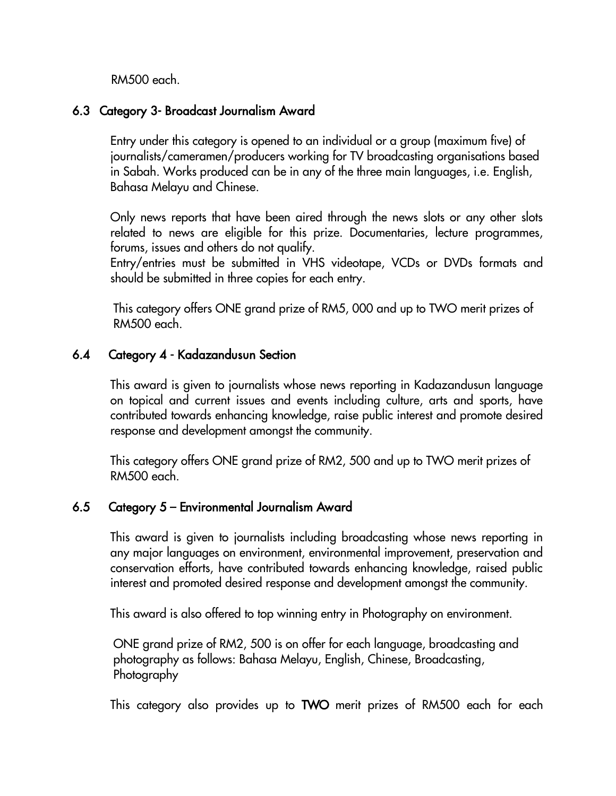RM500 each.

#### 6.3 Category 3- Broadcast Journalism Award

 Entry under this category is opened to an individual or a group (maximum five) of journalists/cameramen/producers working for TV broadcasting organisations based in Sabah. Works produced can be in any of the three main languages, i.e. English, Bahasa Melayu and Chinese.

Only news reports that have been aired through the news slots or any other slots related to news are eligible for this prize. Documentaries, lecture programmes, forums, issues and others do not qualify.

Entry/entries must be submitted in VHS videotape, VCDs or DVDs formats and should be submitted in three copies for each entry.

This category offers ONE grand prize of RM5, 000 and up to TWO merit prizes of RM500 each.

## 6.4 Category 4 - Kadazandusun Section

 This award is given to journalists whose news reporting in Kadazandusun language on topical and current issues and events including culture, arts and sports, have contributed towards enhancing knowledge, raise public interest and promote desired response and development amongst the community.

This category offers ONE grand prize of RM2, 500 and up to TWO merit prizes of RM500 each.

## 6.5 Category 5 – Environmental Journalism Award

 This award is given to journalists including broadcasting whose news reporting in any major languages on environment, environmental improvement, preservation and conservation efforts, have contributed towards enhancing knowledge, raised public interest and promoted desired response and development amongst the community.

This award is also offered to top winning entry in Photography on environment.

ONE grand prize of RM2, 500 is on offer for each language, broadcasting and photography as follows: Bahasa Melayu, English, Chinese, Broadcasting, Photography

This category also provides up to TWO merit prizes of RM500 each for each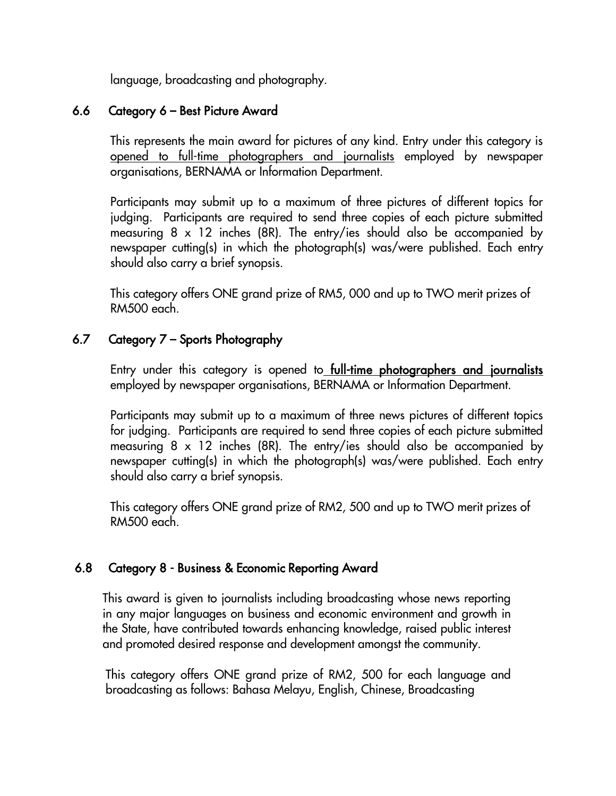language, broadcasting and photography.

#### 6.6 Category 6 – Best Picture Award

 This represents the main award for pictures of any kind. Entry under this category is opened to full-time photographers and journalists employed by newspaper organisations, BERNAMA or Information Department.

Participants may submit up to a maximum of three pictures of different topics for judging. Participants are required to send three copies of each picture submitted measuring 8 x 12 inches (8R). The entry/ies should also be accompanied by newspaper cutting(s) in which the photograph(s) was/were published. Each entry should also carry a brief synopsis.

This category offers ONE grand prize of RM5, 000 and up to TWO merit prizes of RM500 each.

## 6.7 Category 7 – Sports Photography

Entry under this category is opened to **full-time photographers and journalists** employed by newspaper organisations, BERNAMA or Information Department.

Participants may submit up to a maximum of three news pictures of different topics for judging. Participants are required to send three copies of each picture submitted measuring 8 x 12 inches (8R). The entry/ies should also be accompanied by newspaper cutting(s) in which the photograph(s) was/were published. Each entry should also carry a brief synopsis.

This category offers ONE grand prize of RM2, 500 and up to TWO merit prizes of RM500 each.

## 6.8 Category 8 - Business & Economic Reporting Award

 This award is given to journalists including broadcasting whose news reporting in any major languages on business and economic environment and growth in the State, have contributed towards enhancing knowledge, raised public interest and promoted desired response and development amongst the community.

This category offers ONE grand prize of RM2, 500 for each language and broadcasting as follows: Bahasa Melayu, English, Chinese, Broadcasting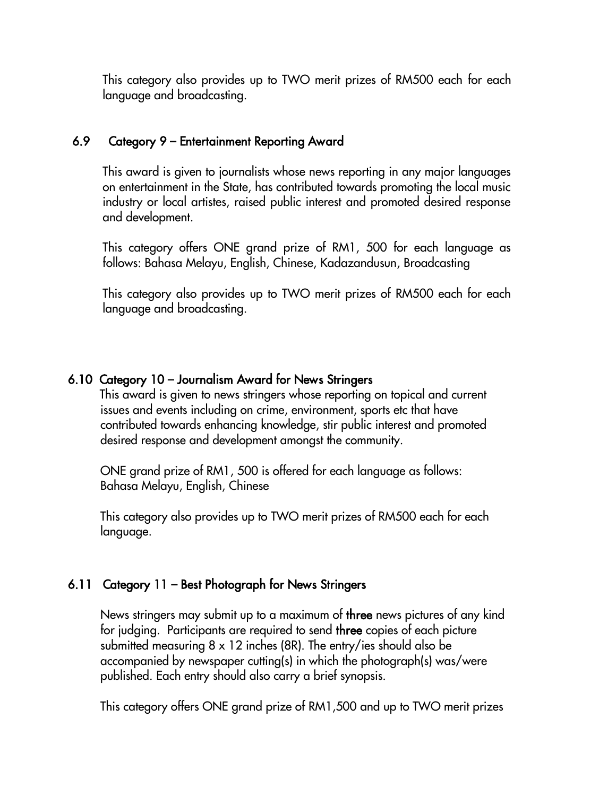This category also provides up to TWO merit prizes of RM500 each for each language and broadcasting.

#### 6.9 Category 9 – Entertainment Reporting Award

 This award is given to journalists whose news reporting in any major languages on entertainment in the State, has contributed towards promoting the local music industry or local artistes, raised public interest and promoted desired response and development.

This category offers ONE grand prize of RM1, 500 for each language as follows: Bahasa Melayu, English, Chinese, Kadazandusun, Broadcasting

This category also provides up to TWO merit prizes of RM500 each for each language and broadcasting.

#### 6.10 Category 10 – Journalism Award for News Stringers

 This award is given to news stringers whose reporting on topical and current issues and events including on crime, environment, sports etc that have contributed towards enhancing knowledge, stir public interest and promoted desired response and development amongst the community.

ONE grand prize of RM1, 500 is offered for each language as follows: Bahasa Melayu, English, Chinese

This category also provides up to TWO merit prizes of RM500 each for each language.

## 6.11 Category 11 – Best Photograph for News Stringers

News stringers may submit up to a maximum of three news pictures of any kind for judging. Participants are required to send three copies of each picture submitted measuring 8 x 12 inches (8R). The entry/ies should also be accompanied by newspaper cutting(s) in which the photograph(s) was/were published. Each entry should also carry a brief synopsis.

This category offers ONE grand prize of RM1,500 and up to TWO merit prizes